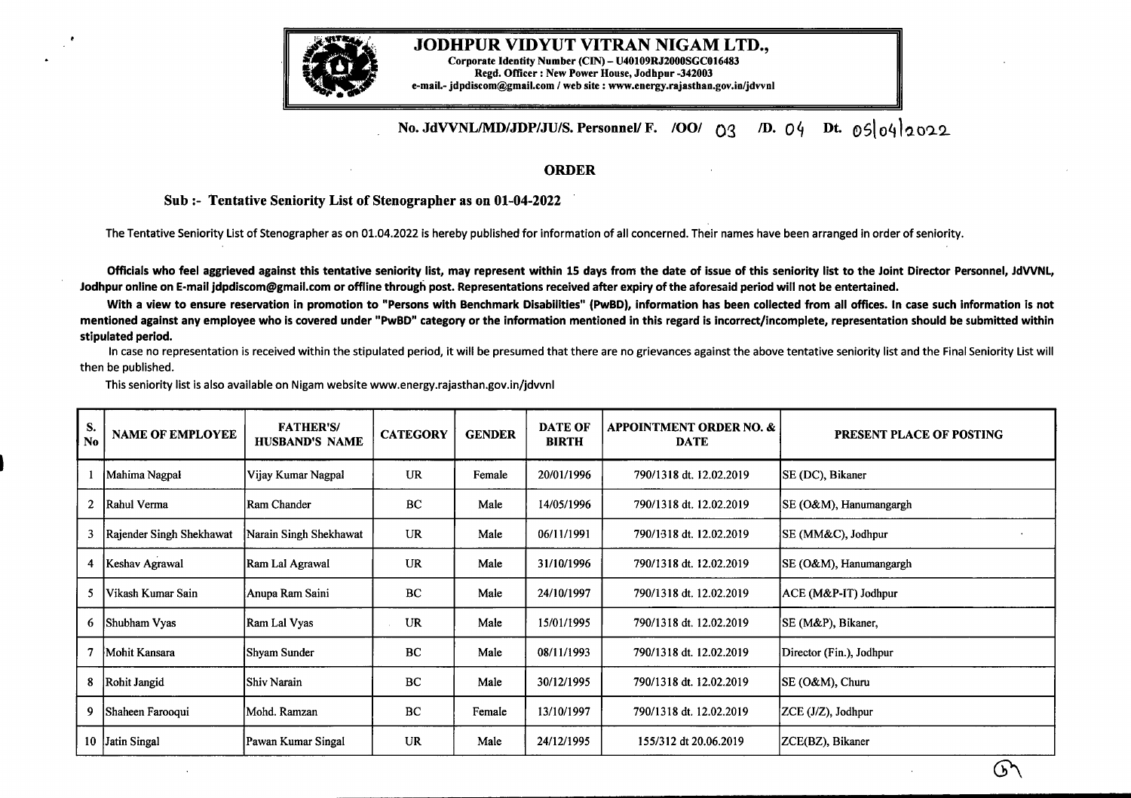

## JODHPUR VIDYUT VITRAN NIGAM LTD., Corporate Identity Number (CIN) - U40109R.J2000SGC016483 Regd. Officer : New Power House, Jodhpur -342003 e-mail.- jdpdiscom@gmail.com / web site : www.energy.rajasthan.gov.in/jdvvnl

## **No. JdVVNL/MD/JDP/JU/S. Personnel/ F. /00/** 03 */D. 04* Dt. 065lo4la009

## **ORDER**

## **Sub:- Tentative Seniority List of Stenographer as on 01-04-2022**

The Tentative Seniority List of Stenographer as on 01.04.2022 is hereby published for information of all concerned. Their names have been arranged in order of seniority.

Officials who feel aggrieved against this tentative seniority list, may represent within 15 days from the date of issue of this seniority list to the Joint Director Personnel, JdVVNL, Jodhpur online on E-mail jdpdiscom@gmail.com or offline through post. Representations received after expiry of the aforesaid period will not be entertained.

With a view to ensure reservation in promotion to "Persons with Benchmark Disabilities" (PwBD), information has been collected from all offices. In case such information is not mentioned against any employee who is covered under "PwBD" category or the information mentioned in this regard is incorrect/incomplete, representation should be submitted within **stipulated period.**

In case no representation is received within the stipulated period, it will be presumed that there are no grievances against the above tentative seniority list and the Final Seniority List will then be published.

This seniority list is also available on Nigam website www.energy.rajasthan.gov.in/jdvvnl

| S.<br><b>No</b> | <b>NAME OF EMPLOYEE</b>  | <b>FATHER'S/</b><br><b>HUSBAND'S NAME</b> | <b>CATEGORY</b> | <b>GENDER</b> | <b>DATE OF</b><br><b>BIRTH</b> | <b>APPOINTMENT ORDER NO. &amp;</b><br><b>DATE</b> | PRESENT PLACE OF POSTING |
|-----------------|--------------------------|-------------------------------------------|-----------------|---------------|--------------------------------|---------------------------------------------------|--------------------------|
|                 | Mahima Nagpal            | Vijay Kumar Nagpal                        | <b>UR</b>       | Female        | 20/01/1996                     | 790/1318 dt. 12.02.2019                           | SE (DC), Bikaner         |
| 2               | Rahul Verma              | Ram Chander                               | BC              | Male          | 14/05/1996                     | 790/1318 dt. 12.02.2019                           | SE (O&M), Hanumangargh   |
| 3               | Rajender Singh Shekhawat | Narain Singh Shekhawat                    | <b>UR</b>       | Male          | 06/11/1991                     | 790/1318 dt. 12.02.2019                           | SE (MM&C), Jodhpur       |
| 4               | Keshav Agrawal           | Ram Lal Agrawal                           | <b>UR</b>       | Male          | 31/10/1996                     | 790/1318 dt. 12.02.2019                           | SE (O&M), Hanumangargh   |
| 5               | Vikash Kumar Sain        | Anupa Ram Saini                           | BC              | Male          | 24/10/1997                     | 790/1318 dt. 12.02.2019                           | ACE (M&P-IT) Jodhpur     |
| 6               | Shubham Vyas             | Ram Lal Vyas                              | UR              | Male          | 15/01/1995                     | 790/1318 dt. 12.02.2019                           | SE (M&P), Bikaner,       |
| 7               | Mohit Kansara            | Shyam Sunder                              | <b>BC</b>       | Male          | 08/11/1993                     | 790/1318 dt. 12.02.2019                           | Director (Fin.), Jodhpur |
| 8               | Rohit Jangid             | Shiv Narain                               | <b>BC</b>       | Male          | 30/12/1995                     | 790/1318 dt. 12.02.2019                           | SE (O&M), Churu          |
| 9.              | Shaheen Farooqui         | Mohd. Ramzan                              | BC              | Female        | 13/10/1997                     | 790/1318 dt. 12.02.2019                           | ZCE (J/Z), Jodhpur       |
|                 | 10 Jatin Singal          | Pawan Kumar Singal                        | <b>UR</b>       | Male          | 24/12/1995                     | 155/312 dt 20.06.2019                             | ZCE(BZ), Bikaner         |

( ኑ '